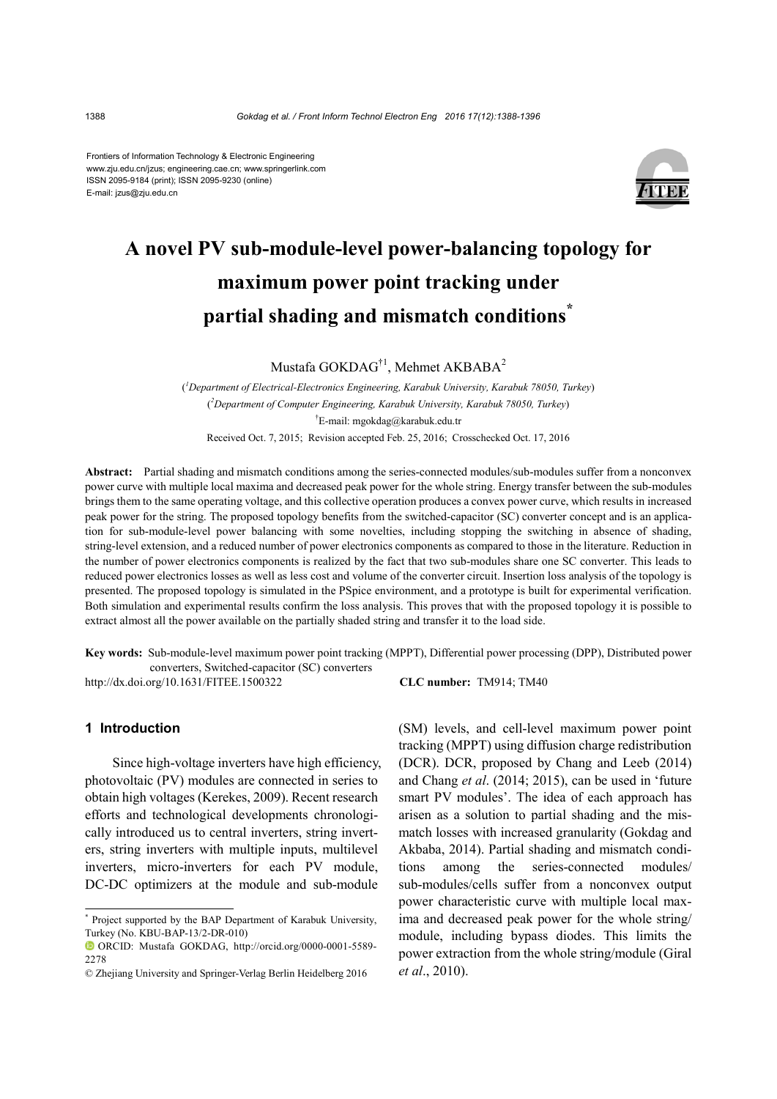Frontiers of Information Technology & Electronic Engineering www.zju.edu.cn/jzus; engineering.cae.cn; www.springerlink.com ISSN 2095-9184 (print); ISSN 2095-9230 (online) E-mail: jzus@zju.edu.cn



# **A novel PV sub-module-level power-balancing topology for maximum power point tracking under partial shading and mismatch conditions\***

Mustafa GOKDAG†1, Mehmet AKBABA2

( *1 Department of Electrical-Electronics Engineering, Karabuk University, Karabuk 78050, Turkey*) ( *2 Department of Computer Engineering, Karabuk University, Karabuk 78050, Turkey*) † E-mail: mgokdag@karabuk.edu.tr Received Oct. 7, 2015; Revision accepted Feb. 25, 2016; Crosschecked Oct. 17, 2016

**Abstract:** Partial shading and mismatch conditions among the series-connected modules/sub-modules suffer from a nonconvex power curve with multiple local maxima and decreased peak power for the whole string. Energy transfer between the sub-modules brings them to the same operating voltage, and this collective operation produces a convex power curve, which results in increased peak power for the string. The proposed topology benefits from the switched-capacitor (SC) converter concept and is an application for sub-module-level power balancing with some novelties, including stopping the switching in absence of shading, string-level extension, and a reduced number of power electronics components as compared to those in the literature. Reduction in the number of power electronics components is realized by the fact that two sub-modules share one SC converter. This leads to reduced power electronics losses as well as less cost and volume of the converter circuit. Insertion loss analysis of the topology is presented. The proposed topology is simulated in the PSpice environment, and a prototype is built for experimental verification. Both simulation and experimental results confirm the loss analysis. This proves that with the proposed topology it is possible to extract almost all the power available on the partially shaded string and transfer it to the load side.

**Key words:** Sub-module-level maximum power point tracking (MPPT), Differential power processing (DPP), Distributed power converters, Switched-capacitor (SC) converters

http://dx.doi.org/10.1631/FITEE.1500322 **CLC number:** TM914; TM40

## **1 Introduction**

Since high-voltage inverters have high efficiency, photovoltaic (PV) modules are connected in series to obtain high voltages (Kerekes, 2009). Recent research efforts and technological developments chronologically introduced us to central inverters, string inverters, string inverters with multiple inputs, multilevel inverters, micro-inverters for each PV module, DC-DC optimizers at the module and sub-module

(SM) levels, and cell-level maximum power point tracking (MPPT) using diffusion charge redistribution (DCR). DCR, proposed by Chang and Leeb (2014) and Chang *et al*. (2014; 2015), can be used in 'future smart PV modules'. The idea of each approach has arisen as a solution to partial shading and the mismatch losses with increased granularity (Gokdag and Akbaba, 2014). Partial shading and mismatch conditions among the series-connected modules/ sub-modules/cells suffer from a nonconvex output power characteristic curve with multiple local maxima and decreased peak power for the whole string/ module, including bypass diodes. This limits the power extraction from the whole string/module (Giral *et al*., 2010).

<sup>\*</sup> Project supported by the BAP Department of Karabuk University, Turkey (No. KBU-BAP-13/2-DR-010)

ORCID: Mustafa GOKDAG, [http://orcid.org/0](http://orcid.org/0000-0002-6574-1542)000-0001-5589- 2278

<sup>©</sup> Zhejiang University and Springer-Verlag Berlin Heidelberg 2016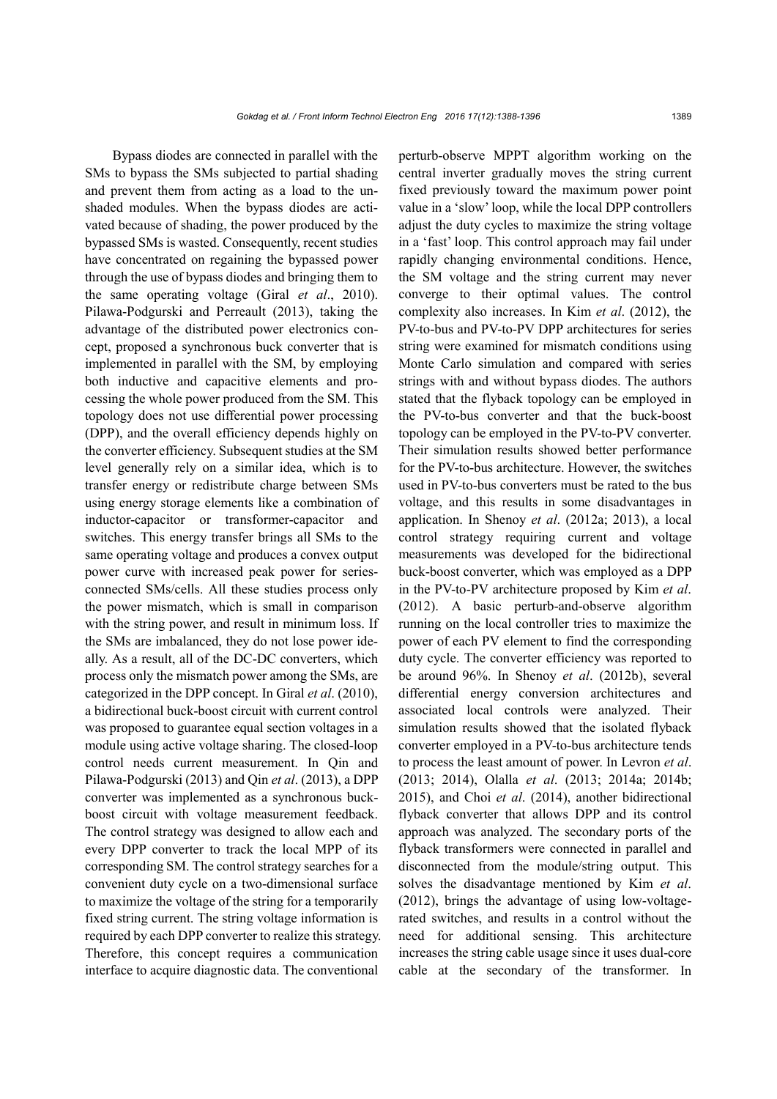Bypass diodes are connected in parallel with the SMs to bypass the SMs subjected to partial shading and prevent them from acting as a load to the unshaded modules. When the bypass diodes are activated because of shading, the power produced by the bypassed SMs is wasted. Consequently, recent studies have concentrated on regaining the bypassed power through the use of bypass diodes and bringing them to the same operating voltage (Giral *et al*., 2010). Pilawa-Podgurski and Perreault (2013), taking the advantage of the distributed power electronics concept, proposed a synchronous buck converter that is implemented in parallel with the SM, by employing both inductive and capacitive elements and processing the whole power produced from the SM. This topology does not use differential power processing (DPP), and the overall efficiency depends highly on the converter efficiency. Subsequent studies at the SM level generally rely on a similar idea, which is to transfer energy or redistribute charge between SMs using energy storage elements like a combination of inductor-capacitor or transformer-capacitor and switches. This energy transfer brings all SMs to the same operating voltage and produces a convex output power curve with increased peak power for seriesconnected SMs/cells. All these studies process only the power mismatch, which is small in comparison with the string power, and result in minimum loss. If the SMs are imbalanced, they do not lose power ideally. As a result, all of the DC-DC converters, which process only the mismatch power among the SMs, are categorized in the DPP concept. In Giral *et al*. (2010), a bidirectional buck-boost circuit with current control was proposed to guarantee equal section voltages in a module using active voltage sharing. The closed-loop control needs current measurement. In Qin and Pilawa-Podgurski (2013) and Qin *et al*. (2013), a DPP converter was implemented as a synchronous buckboost circuit with voltage measurement feedback. The control strategy was designed to allow each and every DPP converter to track the local MPP of its corresponding SM. The control strategy searches for a convenient duty cycle on a two-dimensional surface to maximize the voltage of the string for a temporarily fixed string current. The string voltage information is required by each DPP converter to realize this strategy. Therefore, this concept requires a communication interface to acquire diagnostic data. The conventional perturb-observe MPPT algorithm working on the central inverter gradually moves the string current fixed previously toward the maximum power point value in a 'slow'loop, while the local DPP controllers adjust the duty cycles to maximize the string voltage in a 'fast' loop. This control approach may fail under rapidly changing environmental conditions. Hence, the SM voltage and the string current may never converge to their optimal values. The control complexity also increases. In Kim *et al*. (2012), the PV-to-bus and PV-to-PV DPP architectures for series string were examined for mismatch conditions using Monte Carlo simulation and compared with series strings with and without bypass diodes. The authors stated that the flyback topology can be employed in the PV-to-bus converter and that the buck-boost topology can be employed in the PV-to-PV converter. Their simulation results showed better performance for the PV-to-bus architecture. However, the switches used in PV-to-bus converters must be rated to the bus voltage, and this results in some disadvantages in application. In Shenoy *et al*. (2012a; 2013), a local control strategy requiring current and voltage measurements was developed for the bidirectional buck-boost converter, which was employed as a DPP in the PV-to-PV architecture proposed by Kim *et al*. (2012). A basic perturb-and-observe algorithm running on the local controller tries to maximize the power of each PV element to find the corresponding duty cycle. The converter efficiency was reported to be around 96%. In Shenoy *et al*. (2012b), several differential energy conversion architectures and associated local controls were analyzed. Their simulation results showed that the isolated flyback converter employed in a PV-to-bus architecture tends to process the least amount of power. In Levron *et al*. (2013; 2014), Olalla *et al*. (2013; 2014a; 2014b; 2015), and Choi *et al*. (2014), another bidirectional flyback converter that allows DPP and its control approach was analyzed. The secondary ports of the flyback transformers were connected in parallel and disconnected from the module/string output. This solves the disadvantage mentioned by Kim *et al*. (2012), brings the advantage of using low-voltagerated switches, and results in a control without the need for additional sensing. This architecture increases the string cable usage since it uses dual-core cable at the secondary of the transformer. In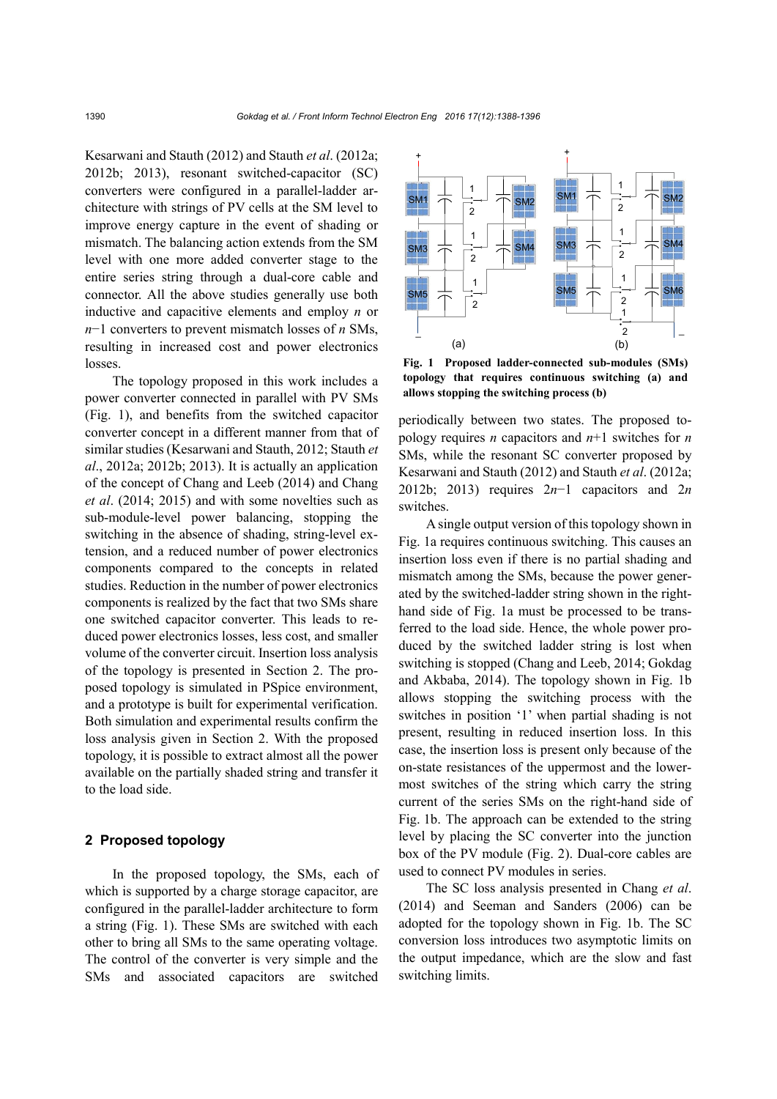Kesarwani and Stauth (2012) and Stauth *et al*. (2012a; 2012b; 2013), resonant switched-capacitor (SC) converters were configured in a parallel-ladder architecture with strings of PV cells at the SM level to improve energy capture in the event of shading or mismatch. The balancing action extends from the SM level with one more added converter stage to the entire series string through a dual-core cable and connector. All the above studies generally use both inductive and capacitive elements and employ *n* or *n*−1 converters to prevent mismatch losses of *n* SMs, resulting in increased cost and power electronics losses.

The topology proposed in this work includes a power converter connected in parallel with PV SMs (Fig. 1), and benefits from the switched capacitor converter concept in a different manner from that of similar studies (Kesarwani and Stauth, 2012; Stauth *et al*., 2012a; 2012b; 2013). It is actually an application of the concept of Chang and Leeb (2014) and Chang *et al*. (2014; 2015) and with some novelties such as sub-module-level power balancing, stopping the switching in the absence of shading, string-level extension, and a reduced number of power electronics components compared to the concepts in related studies. Reduction in the number of power electronics components is realized by the fact that two SMs share one switched capacitor converter. This leads to reduced power electronics losses, less cost, and smaller volume of the converter circuit. Insertion loss analysis of the topology is presented in Section 2. The proposed topology is simulated in PSpice environment, and a prototype is built for experimental verification. Both simulation and experimental results confirm the loss analysis given in Section 2. With the proposed topology, it is possible to extract almost all the power available on the partially shaded string and transfer it to the load side.

# **2 Proposed topology**

In the proposed topology, the SMs, each of which is supported by a charge storage capacitor, are configured in the parallel-ladder architecture to form a string (Fig. 1). These SMs are switched with each other to bring all SMs to the same operating voltage. The control of the converter is very simple and the SMs and associated capacitors are switched



**Fig. 1 Proposed ladder-connected sub-modules (SMs) topology that requires continuous switching (a) and allows stopping the switching process (b)** 

periodically between two states. The proposed topology requires *n* capacitors and *n*+1 switches for *n* SMs, while the resonant SC converter proposed by Kesarwani and Stauth (2012) and Stauth *et al*. (2012a; 2012b; 2013) requires 2*n*−1 capacitors and 2*n* switches.

A single output version of this topology shown in Fig. 1a requires continuous switching. This causes an insertion loss even if there is no partial shading and mismatch among the SMs, because the power generated by the switched-ladder string shown in the righthand side of Fig. 1a must be processed to be transferred to the load side. Hence, the whole power produced by the switched ladder string is lost when switching is stopped (Chang and Leeb, 2014; Gokdag and Akbaba, 2014). The topology shown in Fig. 1b allows stopping the switching process with the switches in position '1' when partial shading is not present, resulting in reduced insertion loss. In this case, the insertion loss is present only because of the on-state resistances of the uppermost and the lowermost switches of the string which carry the string current of the series SMs on the right-hand side of Fig. 1b. The approach can be extended to the string level by placing the SC converter into the junction box of the PV module (Fig. 2). Dual-core cables are used to connect PV modules in series.

The SC loss analysis presented in Chang *et al*. (2014) and Seeman and Sanders (2006) can be adopted for the topology shown in Fig. 1b. The SC conversion loss introduces two asymptotic limits on the output impedance, which are the slow and fast switching limits.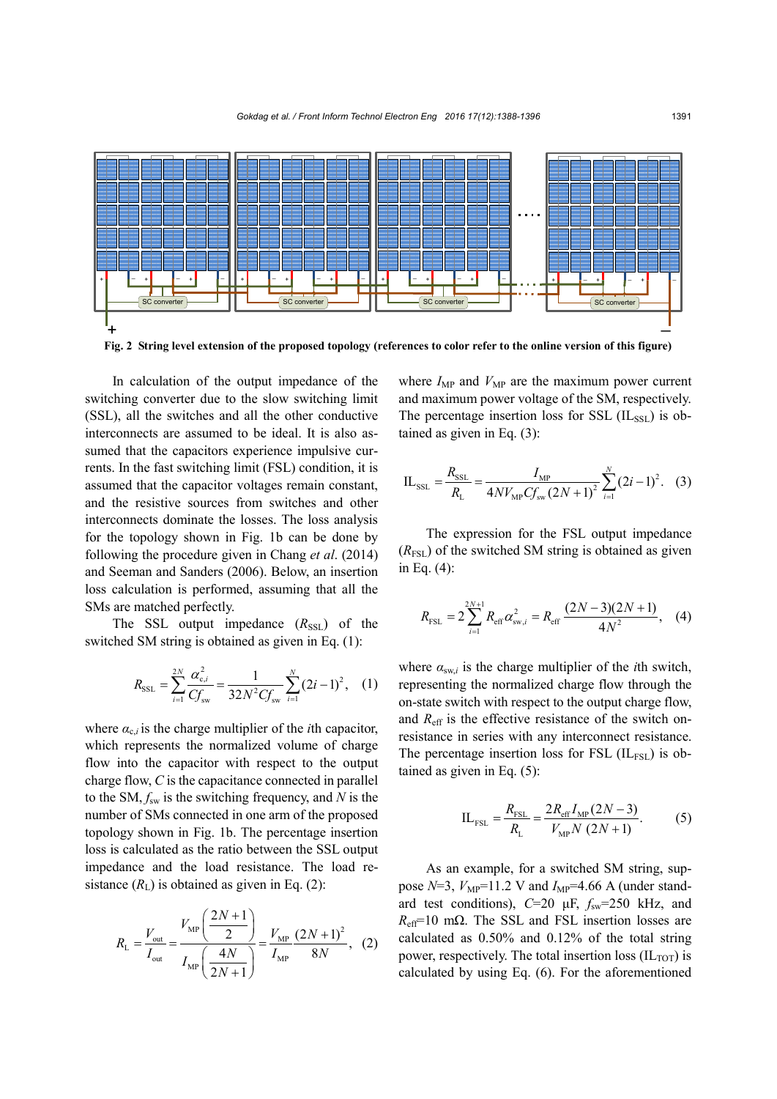

In calculation of the output impedance of the switching converter due to the slow switching limit (SSL), all the switches and all the other conductive interconnects are assumed to be ideal. It is also assumed that the capacitors experience impulsive currents. In the fast switching limit (FSL) condition, it is assumed that the capacitor voltages remain constant, and the resistive sources from switches and other interconnects dominate the losses. The loss analysis for the topology shown in Fig. 1b can be done by following the procedure given in Chang *et al*. (2014) and Seeman and Sanders (2006). Below, an insertion loss calculation is performed, assuming that all the SMs are matched perfectly.

The SSL output impedance  $(R_{\rm SSL})$  of the switched SM string is obtained as given in Eq. (1):

$$
R_{\text{SSL}} = \sum_{i=1}^{2N} \frac{\alpha_{\text{c},i}^2}{C f_{\text{sw}}} = \frac{1}{32N^2 C f_{\text{sw}}} \sum_{i=1}^{N} (2i - 1)^2, \quad (1)
$$

where  $\alpha_{c,i}$  is the charge multiplier of the *i*th capacitor, which represents the normalized volume of charge flow into the capacitor with respect to the output charge flow, *C* is the capacitance connected in parallel to the SM,  $f_{sw}$  is the switching frequency, and *N* is the number of SMs connected in one arm of the proposed topology shown in Fig. 1b. The percentage insertion loss is calculated as the ratio between the SSL output impedance and the load resistance. The load resistance  $(R<sub>L</sub>)$  is obtained as given in Eq. (2):

$$
R_{\rm L} = \frac{V_{\rm out}}{I_{\rm out}} = \frac{V_{\rm MP} \left(\frac{2N+1}{2}\right)}{I_{\rm MP} \left(\frac{4N}{2N+1}\right)} = \frac{V_{\rm MP}}{I_{\rm MP}} \frac{(2N+1)^2}{8N}, \quad (2)
$$

where  $I_{MP}$  and  $V_{MP}$  are the maximum power current and maximum power voltage of the SM, respectively. The percentage insertion loss for SSL  $(IL_{SSL})$  is obtained as given in Eq. (3):

$$
IL_{\text{SSL}} = \frac{R_{\text{SSL}}}{R_{\text{L}}} = \frac{I_{\text{MP}}}{4NV_{\text{MP}}Cf_{\text{sw}}(2N+1)^2} \sum_{i=1}^{N} (2i-1)^2.
$$
 (3)

The expression for the FSL output impedance  $(R_{\text{FSL}})$  of the switched SM string is obtained as given in Eq. (4):

$$
R_{\text{FSL}} = 2 \sum_{i=1}^{2N+1} R_{\text{eff}} \alpha_{\text{sw},i}^2 = R_{\text{eff}} \frac{(2N-3)(2N+1)}{4N^2}, \quad (4)
$$

where  $\alpha_{sw,i}$  is the charge multiplier of the *i*th switch, representing the normalized charge flow through the on-state switch with respect to the output charge flow, and  $R_{\text{eff}}$  is the effective resistance of the switch onresistance in series with any interconnect resistance. The percentage insertion loss for FSL  $(IL_{FSL})$  is obtained as given in Eq. (5):

$$
IL_{FSL} = \frac{R_{FSL}}{R_{L}} = \frac{2R_{eff}I_{MP}(2N-3)}{V_{MP}N(2N+1)}.
$$
 (5)

As an example, for a switched SM string, suppose  $N=3$ ,  $V_{MP}=11.2$  V and  $I_{MP}=4.66$  A (under standard test conditions),  $C=20 \mu F$ ,  $f_{sw}=250 \kappa Hz$ , and  $R_{\text{eff}}$ =10 mΩ. The SSL and FSL insertion losses are calculated as 0.50% and 0.12% of the total string power, respectively. The total insertion loss  $(IL_{TOT})$  is calculated by using Eq. (6). For the aforementioned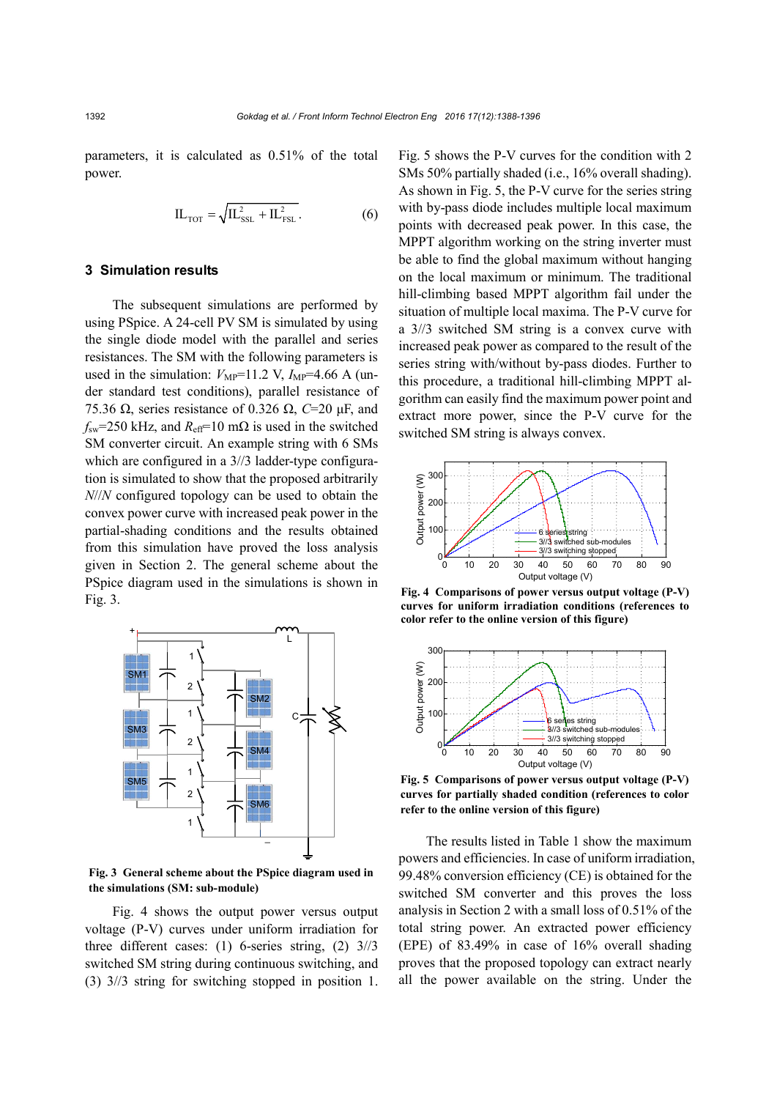parameters, it is calculated as 0.51% of the total power.

$$
IL_{\text{TOT}} = \sqrt{IL_{\text{SSL}}^2 + IL_{\text{FSL}}^2} \,. \tag{6}
$$

### **3 Simulation results**

The subsequent simulations are performed by using PSpice. A 24-cell PV SM is simulated by using the single diode model with the parallel and series resistances. The SM with the following parameters is used in the simulation:  $V_{MP}$ =11.2 V,  $I_{MP}$ =4.66 A (under standard test conditions), parallel resistance of 75.36 Ω, series resistance of 0.326 Ω, *C*=20 μF, and  $f_{sw}$ =250 kHz, and  $R_{eff}$ =10 m $\Omega$  is used in the switched SM converter circuit. An example string with 6 SMs which are configured in a  $3/3$  ladder-type configuration is simulated to show that the proposed arbitrarily *N*//*N* configured topology can be used to obtain the convex power curve with increased peak power in the partial-shading conditions and the results obtained from this simulation have proved the loss analysis given in Section 2. The general scheme about the PSpice diagram used in the simulations is shown in Fig. 3.



**Fig. 3 General scheme about the PSpice diagram used in the simulations (SM: sub-module)**

Fig. 4 shows the output power versus output voltage (P-V) curves under uniform irradiation for three different cases: (1) 6-series string, (2) 3//3 switched SM string during continuous switching, and (3) 3//3 string for switching stopped in position 1. Fig. 5 shows the P-V curves for the condition with 2 SMs 50% partially shaded (i.e., 16% overall shading). As shown in Fig. 5, the P-V curve for the series string with by-pass diode includes multiple local maximum points with decreased peak power. In this case, the MPPT algorithm working on the string inverter must be able to find the global maximum without hanging on the local maximum or minimum. The traditional hill-climbing based MPPT algorithm fail under the situation of multiple local maxima. The P-V curve for a 3//3 switched SM string is a convex curve with increased peak power as compared to the result of the series string with/without by-pass diodes. Further to this procedure, a traditional hill-climbing MPPT algorithm can easily find the maximum power point and extract more power, since the P-V curve for the switched SM string is always convex.



**Fig. 4 Comparisons of power versus output voltage (P-V) curves for uniform irradiation conditions (references to color refer to the online version of this figure)**



**Fig. 5 Comparisons of power versus output voltage (P-V) curves for partially shaded condition (references to color refer to the online version of this figure)**

The results listed in Table 1 show the maximum powers and efficiencies. In case of uniform irradiation, 99.48% conversion efficiency (CE) is obtained for the switched SM converter and this proves the loss analysis in Section 2 with a small loss of 0.51% of the total string power. An extracted power efficiency (EPE) of 83.49% in case of 16% overall shading proves that the proposed topology can extract nearly all the power available on the string. Under the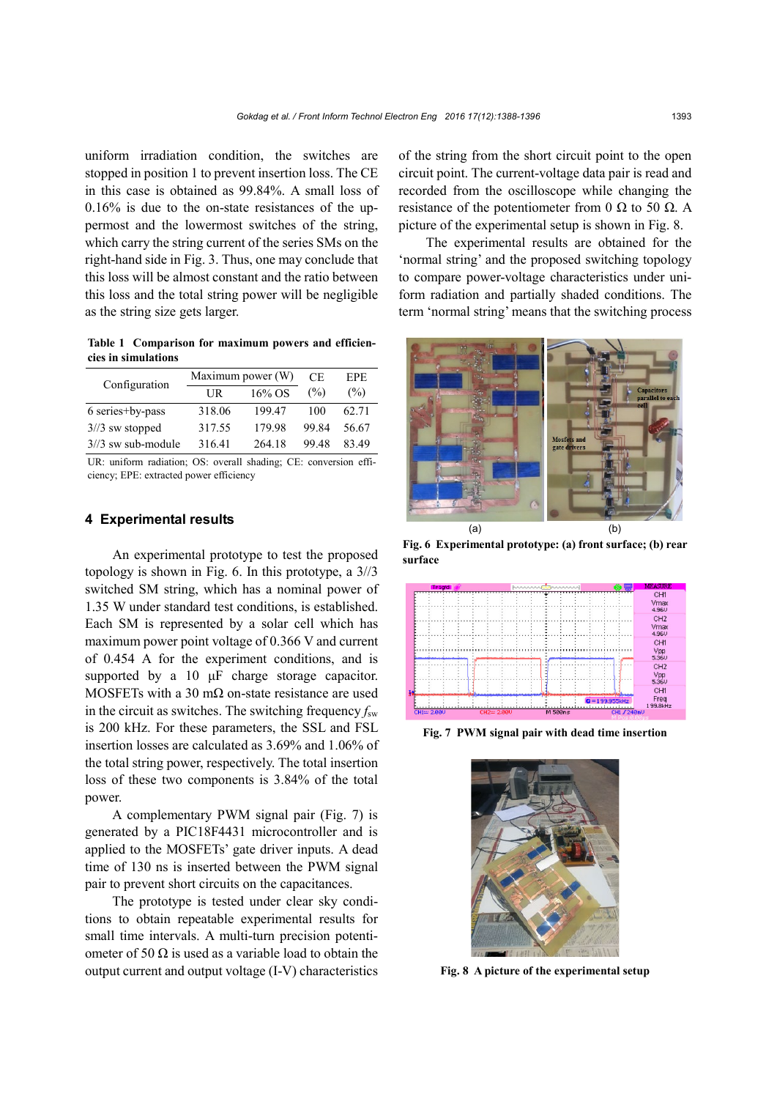uniform irradiation condition, the switches are stopped in position 1 to prevent insertion loss. The CE in this case is obtained as 99.84%. A small loss of 0.16% is due to the on-state resistances of the uppermost and the lowermost switches of the string, which carry the string current of the series SMs on the right-hand side in Fig. 3. Thus, one may conclude that this loss will be almost constant and the ratio between this loss and the total string power will be negligible as the string size gets larger.

**Table 1 Comparison for maximum powers and efficiencies in simulations**

| Configuration       |        | Maximum power (W) | CЕ    | EPE.  |
|---------------------|--------|-------------------|-------|-------|
|                     | UR     | 16% OS            | (%)   | (%)   |
| 6 series+by-pass    | 318.06 | 19947             | 100   | 62.71 |
| $3/3$ sw stopped    | 317.55 | 179 98            | 99.84 | 56.67 |
| $3/3$ sw sub-module | 316.41 | 264 18            | 99.48 | 83.49 |

UR: uniform radiation; OS: overall shading; CE: conversion efficiency; EPE: extracted power efficiency

# **4 Experimental results**

An experimental prototype to test the proposed topology is shown in Fig. 6. In this prototype, a 3//3 switched SM string, which has a nominal power of 1.35 W under standard test conditions, is established. Each SM is represented by a solar cell which has maximum power point voltage of 0.366 V and current of 0.454 A for the experiment conditions, and is supported by a 10 μF charge storage capacitor. MOSFETs with a 30 m $\Omega$  on-state resistance are used in the circuit as switches. The switching frequency  $f_{sw}$ is 200 kHz. For these parameters, the SSL and FSL insertion losses are calculated as 3.69% and 1.06% of the total string power, respectively. The total insertion loss of these two components is 3.84% of the total power.

A complementary PWM signal pair (Fig. 7) is generated by a PIC18F4431 microcontroller and is applied to the MOSFETs' gate driver inputs. A dead time of 130 ns is inserted between the PWM signal pair to prevent short circuits on the capacitances.

The prototype is tested under clear sky conditions to obtain repeatable experimental results for small time intervals. A multi-turn precision potentiometer of 50  $\Omega$  is used as a variable load to obtain the output current and output voltage (I-V) characteristics of the string from the short circuit point to the open circuit point. The current-voltage data pair is read and recorded from the oscilloscope while changing the resistance of the potentiometer from 0 Ω to 50  $\Omega$ . A picture of the experimental setup is shown in Fig. 8.

The experimental results are obtained for the 'normal string' and the proposed switching topology to compare power-voltage characteristics under uniform radiation and partially shaded conditions. The term 'normal string' means that the switching process



**Fig. 6 Experimental prototype: (a) front surface; (b) rear surface**



**Fig. 7 PWM signal pair with dead time insertion**



**Fig. 8 A picture of the experimental setup**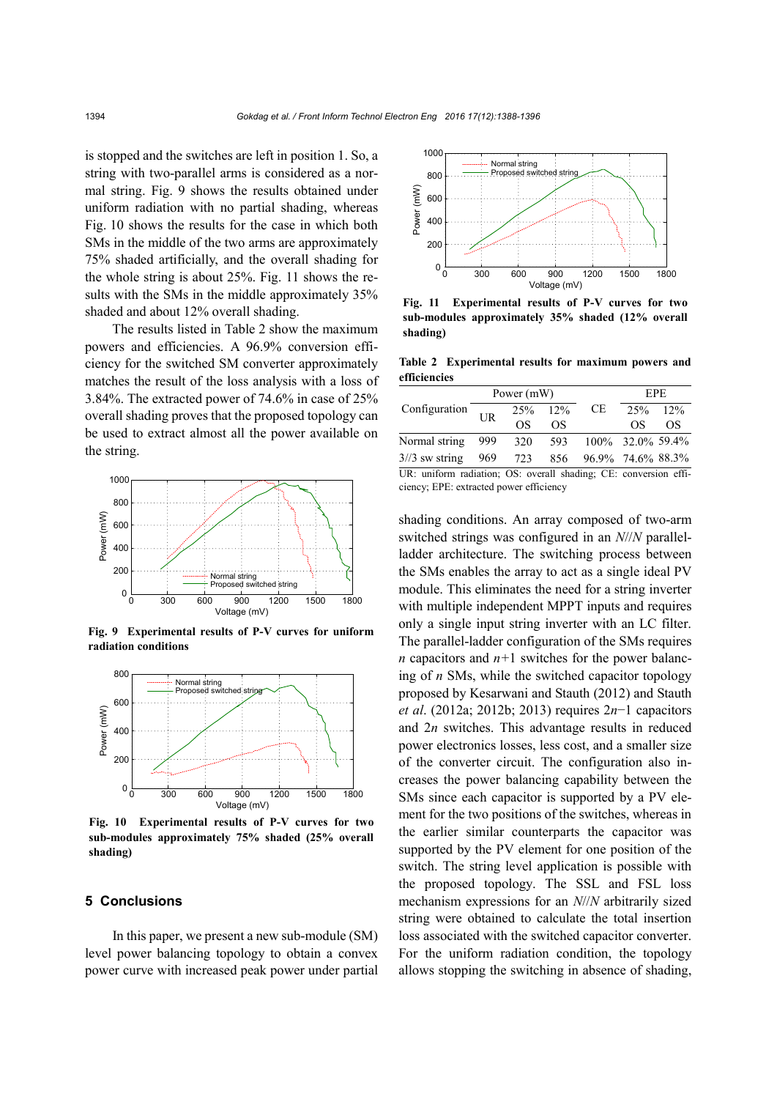is stopped and the switches are left in position 1. So, a string with two-parallel arms is considered as a normal string. Fig. 9 shows the results obtained under uniform radiation with no partial shading, whereas Fig. 10 shows the results for the case in which both SMs in the middle of the two arms are approximately 75% shaded artificially, and the overall shading for the whole string is about 25%. Fig. 11 shows the results with the SMs in the middle approximately 35% shaded and about 12% overall shading.

The results listed in Table 2 show the maximum powers and efficiencies. A 96.9% conversion efficiency for the switched SM converter approximately matches the result of the loss analysis with a loss of 3.84%. The extracted power of 74.6% in case of 25% overall shading proves that the proposed topology can be used to extract almost all the power available on the string.



**Fig. 9 Experimental results of P-V curves for uniform radiation conditions**



**Fig. 10 Experimental results of P-V curves for two sub-modules approximately 75% shaded (25% overall shading)**

#### **5 Conclusions**

In this paper, we present a new sub-module (SM) level power balancing topology to obtain a convex power curve with increased peak power under partial



**Fig. 11 Experimental results of P-V curves for two sub-modules approximately 35% shaded (12% overall shading)**

**Table 2 Experimental results for maximum powers and efficiencies**

| Configuration                                                        | Power (mW) |         |     | <b>EPE</b>              |            |    |
|----------------------------------------------------------------------|------------|---------|-----|-------------------------|------------|----|
|                                                                      | UR         | 25% 12% |     | CE                      | $25\%$ 12% |    |
|                                                                      |            | OS      | OS  |                         | OS         | OS |
| Normal string                                                        | -999       | 320     |     | 593 100\% 32.0\% 59.4\% |            |    |
| $3/3$ sw string                                                      | 969        | 723     | 856 | 96.9% 74.6% 88.3%       |            |    |
| $IIR$ uniform radiation: $OS$ overall shading: $CF$ conversion effi- |            |         |     |                         |            |    |

UR: uniform radiation; OS: overall shading; CE: conversion efficiency; EPE: extracted power efficiency

shading conditions. An array composed of two-arm switched strings was configured in an *N*//*N* parallelladder architecture. The switching process between the SMs enables the array to act as a single ideal PV module. This eliminates the need for a string inverter with multiple independent MPPT inputs and requires only a single input string inverter with an LC filter. The parallel-ladder configuration of the SMs requires *n* capacitors and *n+*1 switches for the power balancing of *n* SMs, while the switched capacitor topology proposed by Kesarwani and Stauth (2012) and Stauth *et al*. (2012a; 2012b; 2013) requires 2*n*−1 capacitors and 2*n* switches. This advantage results in reduced power electronics losses, less cost, and a smaller size of the converter circuit. The configuration also increases the power balancing capability between the SMs since each capacitor is supported by a PV element for the two positions of the switches, whereas in the earlier similar counterparts the capacitor was supported by the PV element for one position of the switch. The string level application is possible with the proposed topology. The SSL and FSL loss mechanism expressions for an *N*//*N* arbitrarily sized string were obtained to calculate the total insertion loss associated with the switched capacitor converter. For the uniform radiation condition, the topology allows stopping the switching in absence of shading,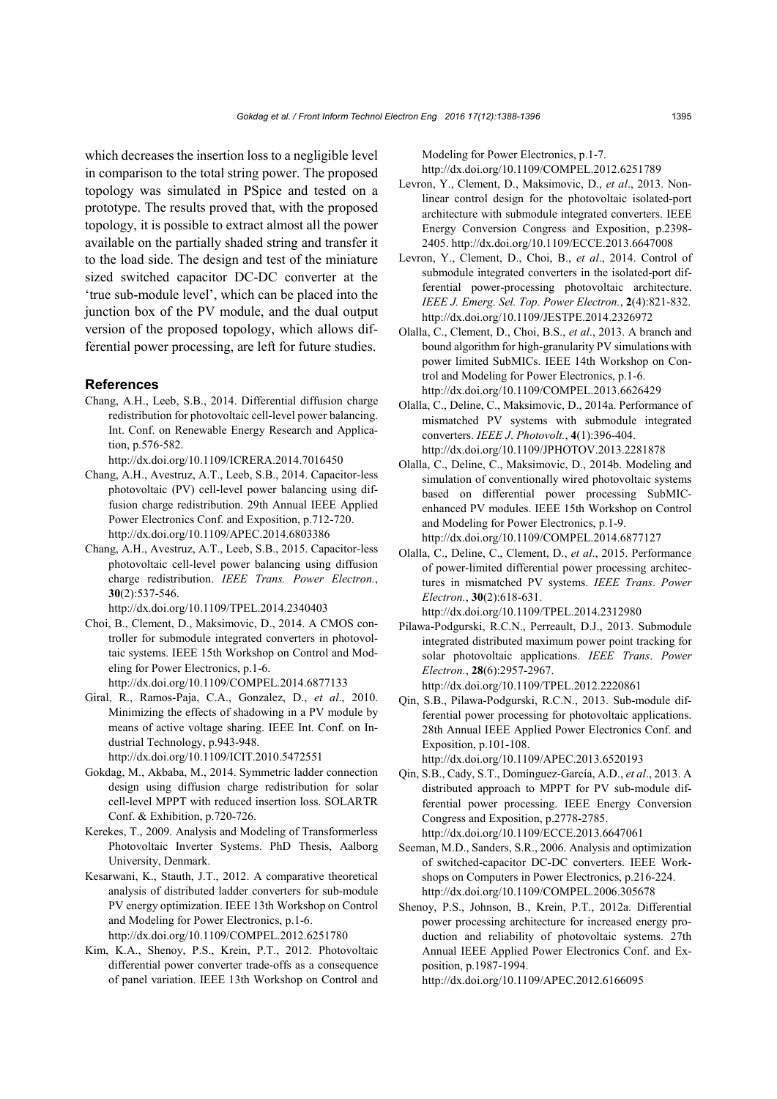which decreases the insertion loss to a negligible level in comparison to the total string power. The proposed topology was simulated in PSpice and tested on a prototype. The results proved that, with the proposed topology, it is possible to extract almost all the power available on the partially shaded string and transfer it to the load side. The design and test of the miniature sized switched capacitor DC-DC converter at the 'true sub-module level', which can be placed into the junction box of the PV module, and the dual output version of the proposed topology, which allows differential power processing, are left for future studies.

#### **References**

- Chang, A.H., Leeb, S.B., 2014. Differential diffusion charge redistribution for photovoltaic cell-level power balancing. Int. Conf. on Renewable Energy Research and Application, p.576-582.
- http://dx.doi.org/10.1109/ICRERA.2014.7016450 Chang, A.H., Avestruz, A.T., Leeb, S.B., 2014. Capacitor-less photovoltaic (PV) cell-level power balancing using diffusion charge redistribution. 29th Annual IEEE Applied Power Electronics Conf. and Exposition, p.712-720. http://dx.doi.org/10.1109/APEC.2014.6803386
- Chang, A.H., Avestruz, A.T., Leeb, S.B., 2015. Capacitor-less photovoltaic cell-level power balancing using diffusion charge redistribution. *IEEE Trans. Power Electron.*, **30**(2):537-546.

http://dx.doi.org/10.1109/TPEL.2014.2340403

- Choi, B., Clement, D., Maksimovic, D., 2014. A CMOS controller for submodule integrated converters in photovoltaic systems. IEEE 15th Workshop on Control and Modeling for Power Electronics, p.1-6. http://dx.doi.org/10.1109/COMPEL.2014.6877133
- Giral, R., Ramos-Paja, C.A., Gonzalez, D., *et al*., 2010. Minimizing the effects of shadowing in a PV module by means of active voltage sharing. IEEE Int. Conf. on Industrial Technology, p.943-948. http://dx.doi.org/10.1109/ICIT.2010.5472551
- Gokdag, M., Akbaba, M., 2014. Symmetric ladder connection design using diffusion charge redistribution for solar cell-level MPPT with reduced insertion loss. SOLARTR Conf. & Exhibition, p.720-726.
- Kerekes, T., 2009. Analysis and Modeling of Transformerless Photovoltaic Inverter Systems. PhD Thesis, Aalborg University, Denmark.
- Kesarwani, K., Stauth, J.T., 2012. A comparative theoretical analysis of distributed ladder converters for sub-module PV energy optimization. IEEE 13th Workshop on Control and Modeling for Power Electronics, p.1-6. http://dx.doi.org/10.1109/COMPEL.2012.6251780
- Kim, K.A., Shenoy, P.S., Krein, P.T., 2012. Photovoltaic differential power converter trade-offs as a consequence of panel variation. IEEE 13th Workshop on Control and

Modeling for Power Electronics, p.1-7. http://dx.doi.org/10.1109/COMPEL.2012.6251789

- Levron, Y., Clement, D., Maksimovic, D., *et al*., 2013. Nonlinear control design for the photovoltaic isolated-port architecture with submodule integrated converters. IEEE Energy Conversion Congress and Exposition, p.2398- 2405. http://dx.doi.org/10.1109/ECCE.2013.6647008
- Levron, Y., Clement, D., Choi, B., *et al*., 2014. Control of submodule integrated converters in the isolated-port differential power-processing photovoltaic architecture. *IEEE J. Emerg. Sel. Top. Power Electron.*, **2**(4):821-832. http://dx.doi.org/10.1109/JESTPE.2014.2326972
- Olalla, C., Clement, D., Choi, B.S., *et al*., 2013. A branch and bound algorithm for high-granularity PV simulations with power limited SubMICs. IEEE 14th Workshop on Control and Modeling for Power Electronics, p.1-6. http://dx.doi.org/10.1109/COMPEL.2013.6626429
- Olalla, C., Deline, C., Maksimovic, D., 2014a. Performance of mismatched PV systems with submodule integrated converters. *IEEE J*. *Photovolt.*, **4**(1):396-404. http://dx.doi.org/10.1109/JPHOTOV.2013.2281878
- Olalla, C., Deline, C., Maksimovic, D., 2014b. Modeling and simulation of conventionally wired photovoltaic systems based on differential power processing SubMICenhanced PV modules. IEEE 15th Workshop on Control and Modeling for Power Electronics, p.1-9. http://dx.doi.org/10.1109/COMPEL.2014.6877127
- Olalla, C., Deline, C., Clement, D., *et al*., 2015. Performance of power-limited differential power processing architectures in mismatched PV systems. *IEEE Trans*. *Power Electron.*, **30**(2):618-631. http://dx.doi.org/10.1109/TPEL.2014.2312980

Pilawa-Podgurski, R.C.N., Perreault, D.J., 2013. Submodule integrated distributed maximum power point tracking for solar photovoltaic applications. *IEEE Trans*. *Power Electron.*, **28**(6):2957-2967.

http://dx.doi.org/10.1109/TPEL.2012.2220861

Qin, S.B., Pilawa-Podgurski, R.C.N., 2013. Sub-module differential power processing for photovoltaic applications. 28th Annual IEEE Applied Power Electronics Conf. and Exposition, p.101-108.

http://dx.doi.org/10.1109/APEC.2013.6520193

- Qin, S.B., Cady, S.T., Domínguez-García, A.D., *et al*., 2013. A distributed approach to MPPT for PV sub-module differential power processing. IEEE Energy Conversion Congress and Exposition, p.2778-2785. http://dx.doi.org/10.1109/ECCE.2013.6647061
- Seeman, M.D., Sanders, S.R., 2006. Analysis and optimization of switched-capacitor DC-DC converters. IEEE Workshops on Computers in Power Electronics, p.216-224. http://dx.doi.org/10.1109/COMPEL.2006.305678
- Shenoy, P.S., Johnson, B., Krein, P.T., 2012a. Differential power processing architecture for increased energy production and reliability of photovoltaic systems. 27th Annual IEEE Applied Power Electronics Conf. and Exposition, p.1987-1994.

http://dx.doi.org/10.1109/APEC.2012.6166095